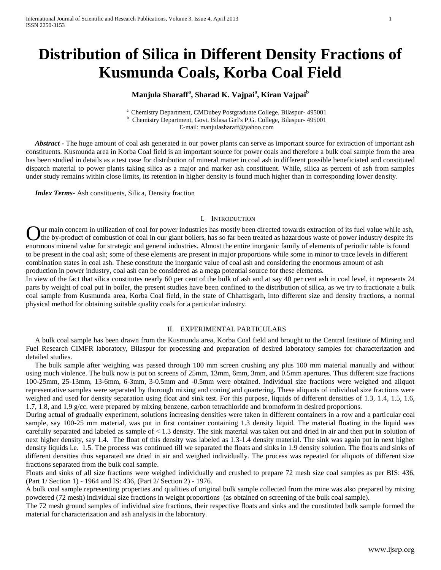# **Distribution of Silica in Different Density Fractions of Kusmunda Coals, Korba Coal Field**

## **Manjula Sharaff<sup>a</sup> , Sharad K. Vajpai<sup>a</sup> , Kiran Vajpai<sup>b</sup>**

<sup>a</sup> Chemistry Department, CMDubey Postgraduate College, Bilaspur- 495001 **b** Chemistry Department, Govt. Bilasa Girl's P.G. College, Bilaspur- 495001 E-mail: manjulasharaff@yahoo.com

*Abstract* • The huge amount of coal ash generated in our power plants can serve as important source for extraction of important ash constituents. Kusmunda area in Korba Coal field is an important source for power coals and therefore a bulk coal sample from the area has been studied in details as a test case for distribution of mineral matter in coal ash in different possible beneficiated and constituted dispatch material to power plants taking silica as a major and marker ash constituent. While, silica as percent of ash from samples under study remains within close limits, its retention in higher density is found much higher than in corresponding lower density.

 *Index Terms-* Ash constituents, Silica, Density fraction

#### I. INTRODUCTION

ur main concern in utilization of coal for power industries has mostly been directed towards extraction of its fuel value while ash, If the by-product of combustion of coal in our giant boilers, has so far been treated as hazardous waste of power industry despite its Our main concern in utilization of coal for power industries has mostly been directed towards extraction of its fuel value while ash the by-product of combustion of coal in our giant boilers, has so far been treated as haz to be present in the coal ash; some of these elements are present in major proportions while some in minor to trace levels in different combination states in coal ash. These constitute the inorganic value of coal ash and considering the enormous amount of ash production in power industry, coal ash can be considered as a mega potential source for these elements.

In view of the fact that silica constitutes nearly 60 per cent of the bulk of ash and at say 40 per cent ash in coal level, it represents 24 parts by weight of coal put in boiler, the present studies have been confined to the distribution of silica, as we try to fractionate a bulk coal sample from Kusmunda area, Korba Coal field, in the state of Chhattisgarh, into different size and density fractions, a normal physical method for obtaining suitable quality coals for a particular industry.

#### II. EXPERIMENTAL PARTICULARS

 A bulk coal sample has been drawn from the Kusmunda area, Korba Coal field and brought to the Central Institute of Mining and Fuel Research CIMFR laboratory, Bilaspur for processing and preparation of desired laboratory samples for characterization and detailed studies.

 The bulk sample after weighing was passed through 100 mm screen crushing any plus 100 mm material manually and without using much violence. The bulk now is put on screens of 25mm, 13mm, 6mm, 3mm, and 0.5mm apertures. Thus different size fractions 100-25mm, 25-13mm, 13-6mm, 6-3mm, 3-0.5mm and -0.5mm were obtained. Individual size fractions were weighed and aliquot representative samples were separated by thorough mixing and coning and quartering. These aliquots of individual size fractions were weighed and used for density separation using float and sink test. For this purpose, liquids of different densities of 1.3, 1.4, 1.5, 1.6, 1.7, 1.8, and 1.9 g/cc. were prepared by mixing benzene, carbon tetrachloride and bromoform in desired proportions.

During actual of gradually experiment, solutions increasing densities were taken in different containers in a row and a particular coal sample, say 100-25 mm material, was put in first container containing 1.3 density liquid. The material floating in the liquid was carefully separated and labeled as sample of < 1.3 density. The sink material was taken out and dried in air and then put in solution of next higher density, say 1.4. The float of this density was labeled as 1.3-1.4 density material. The sink was again put in next higher density liquids i.e. 1.5. The process was continued till we separated the floats and sinks in 1.9 density solution. The floats and sinks of different densities thus separated are dried in air and weighed individually. The process was repeated for aliquots of different size fractions separated from the bulk coal sample.

Floats and sinks of all size fractions were weighed individually and crushed to prepare 72 mesh size coal samples as per BIS: 436, (Part 1/ Section 1) - 1964 and IS: 436, (Part 2/ Section 2) - 1976.

A bulk coal sample representing properties and qualities of original bulk sample collected from the mine was also prepared by mixing powdered (72 mesh) individual size fractions in weight proportions (as obtained on screening of the bulk coal sample).

The 72 mesh ground samples of individual size fractions, their respective floats and sinks and the constituted bulk sample formed the material for characterization and ash analysis in the laboratory.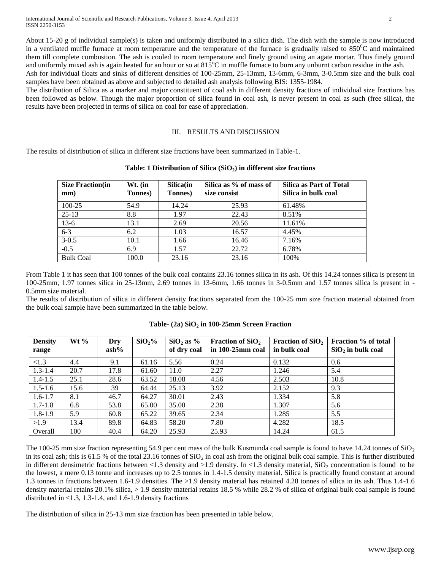About 15-20 g of individual sample(s) is taken and uniformly distributed in a silica dish. The dish with the sample is now introduced in a ventilated muffle furnace at room temperature and the temperature of the furnace is gradually raised to  $850^{\circ}$ C and maintained them till complete combustion. The ash is cooled to room temperature and finely ground using an agate mortar. Thus finely ground and uniformly mixed ash is again heated for an hour or so at  $815^{\circ}$ C in muffle furnace to burn any unburnt carbon residue in the ash.

Ash for individual floats and sinks of different densities of 100-25mm, 25-13mm, 13-6mm, 6-3mm, 3-0.5mm size and the bulk coal samples have been obtained as above and subjected to detailed ash analysis following BIS: 1355-1984.

The distribution of Silica as a marker and major constituent of coal ash in different density fractions of individual size fractions has been followed as below. Though the major proportion of silica found in coal ash, is never present in coal as such (free silica), the results have been projected in terms of silica on coal for ease of appreciation.

## III. RESULTS AND DISCUSSION

The results of distribution of silica in different size fractions have been summarized in Table-1.

| Table: 1 Distribution of Silica $(SiO2)$ in different size fractions |
|----------------------------------------------------------------------|
|                                                                      |

| <b>Size Fraction</b> (in<br>mm) | Wt. (in<br><b>Tonnes</b> ) | Silica(in<br>Tonnes) | Silica as % of mass of<br>size consist | <b>Silica as Part of Total</b><br>Silica in bulk coal |
|---------------------------------|----------------------------|----------------------|----------------------------------------|-------------------------------------------------------|
| 100-25                          | 54.9                       | 14.24                | 25.93                                  | 61.48%                                                |
| $25-13$                         | 8.8                        | 1.97                 | 22.43                                  | 8.51%                                                 |
| $13-6$                          | 13.1                       | 2.69                 | 20.56                                  | 11.61%                                                |
| $6 - 3$                         | 6.2                        | 1.03                 | 16.57                                  | 4.45%                                                 |
| $3 - 0.5$                       | 10.1                       | 1.66                 | 16.46                                  | 7.16%                                                 |
| $-0.5$                          | 6.9                        | 1.57                 | 22.72                                  | 6.78%                                                 |
| <b>Bulk Coal</b>                | 100.0                      | 23.16                | 23.16                                  | 100%                                                  |

From Table 1 it has seen that 100 tonnes of the bulk coal contains 23.16 tonnes silica in its ash. Of this 14.24 tonnes silica is present in 100-25mm, 1.97 tonnes silica in 25-13mm, 2.69 tonnes in 13-6mm, 1.66 tonnes in 3-0.5mm and 1.57 tonnes silica is present in - 0.5mm size material.

The results of distribution of silica in different density fractions separated from the 100-25 mm size fraction material obtained from the bulk coal sample have been summarized in the table below.

| <b>Density</b> | Wt $%$ | Dry     | SiO <sub>2</sub> % | $SiO2$ as % | Fraction of $SiO2$ | Fraction of $SiO2$ | Fraction % of total |
|----------------|--------|---------|--------------------|-------------|--------------------|--------------------|---------------------|
| range          |        | $ash\%$ |                    | of dry coal | in 100-25mm coal   | in bulk coal       | $SiO2$ in bulk coal |
| <1.3           | 4.4    | 9.1     | 61.16              | 5.56        | 0.24               | 0.132              | 0.6                 |
| $1.3 - 1.4$    | 20.7   | 17.8    | 61.60              | 11.0        | 2.27               | 1.246              | 5.4                 |
| $1.4 - 1.5$    | 25.1   | 28.6    | 63.52              | 18.08       | 4.56               | 2.503              | 10.8                |
| $1.5 - 1.6$    | 15.6   | 39      | 64.44              | 25.13       | 3.92               | 2.152              | 9.3                 |
| $1.6 - 1.7$    | 8.1    | 46.7    | 64.27              | 30.01       | 2.43               | 1.334              | 5.8                 |
| $1.7 - 1.8$    | 6.8    | 53.8    | 65.00              | 35.00       | 2.38               | 1.307              | 5.6                 |
| $1.8 - 1.9$    | 5.9    | 60.8    | 65.22              | 39.65       | 2.34               | 1.285              | 5.5                 |
| >1.9           | 13.4   | 89.8    | 64.83              | 58.20       | 7.80               | 4.282              | 18.5                |
| Overall        | 100    | 40.4    | 64.20              | 25.93       | 25.93              | 14.24              | 61.5                |

**Table- (2a) SiO<sup>2</sup> in 100-25mm Screen Fraction**

The 100-25 mm size fraction representing 54.9 per cent mass of the bulk Kusmunda coal sample is found to have 14.24 tonnes of  $SiO<sub>2</sub>$ in its coal ash; this is 61.5 % of the total 23.16 tonnes of  $SiO<sub>2</sub>$  in coal ash from the original bulk coal sample. This is further distributed in different densimetric fractions between <1.3 density and >1.9 density. In <1.3 density material,  $\text{SiO}_2$  concentration is found to be the lowest, a mere 0.13 tonne and increases up to 2.5 tonnes in 1.4-1.5 density material. Silica is practically found constant at around 1.3 tonnes in fractions between 1.6-1.9 densities. The >1.9 density material has retained 4.28 tonnes of silica in its ash. Thus 1.4-1.6 density material retains 20.1% silica,  $> 1.9$  density material retains 18.5 % while 28.2 % of silica of original bulk coal sample is found distributed in <1.3, 1.3-1.4, and 1.6-1.9 density fractions

The distribution of silica in 25-13 mm size fraction has been presented in table below.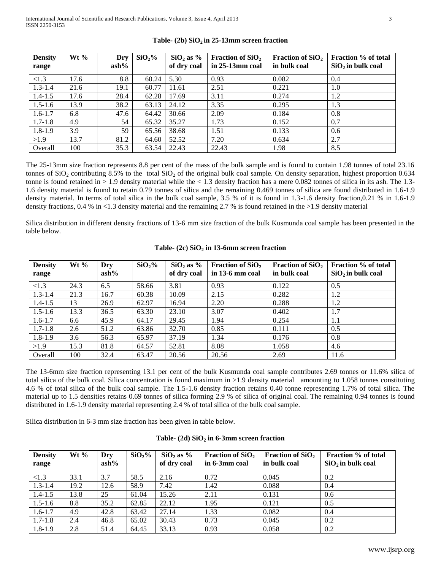| <b>Density</b> | Wt $\%$ | Dry     | SiO <sub>2</sub> % | $SiO2$ as % | Fraction of $SiO2$ | Fraction of $SiO2$ | Fraction % of total |
|----------------|---------|---------|--------------------|-------------|--------------------|--------------------|---------------------|
| range          |         | $ash\%$ |                    | of dry coal | in $25-13$ mm coal | in bulk coal       | $SiO2$ in bulk coal |
| < 1.3          | 17.6    | 8.8     | 60.24              | 5.30        | 0.93               | 0.082              | 0.4                 |
| $1.3 - 1.4$    | 21.6    | 19.1    | 60.77              | 11.61       | 2.51               | 0.221              | 1.0                 |
| $1.4 - 1.5$    | 17.6    | 28.4    | 62.28              | 17.69       | 3.11               | 0.274              | 1.2                 |
| $1.5 - 1.6$    | 13.9    | 38.2    | 63.13              | 24.12       | 3.35               | 0.295              | 1.3                 |
| $1.6 - 1.7$    | 6.8     | 47.6    | 64.42              | 30.66       | 2.09               | 0.184              | 0.8                 |
| $1.7 - 1.8$    | 4.9     | 54      | 65.32              | 35.27       | 1.73               | 0.152              | 0.7                 |
| $1.8 - 1.9$    | 3.9     | 59      | 65.56              | 38.68       | 1.51               | 0.133              | 0.6                 |
| >1.9           | 13.7    | 81.2    | 64.60              | 52.52       | 7.20               | 0.634              | 2.7                 |
| Overall        | 100     | 35.3    | 63.54              | 22.43       | 22.43              | 1.98               | 8.5                 |

**Table- (2b) SiO2 in 25-13mm screen fraction**

The 25-13mm size fraction represents 8.8 per cent of the mass of the bulk sample and is found to contain 1.98 tonnes of total 23.16 tonnes of  $SiO<sub>2</sub>$  contributing 8.5% to the total  $SiO<sub>2</sub>$  of the original bulk coal sample. On density separation, highest proportion 0.634 tonne is found retained in > 1.9 density material while the < 1.3 density fraction has a mere 0.082 tonnes of silica in its ash. The 1.3- 1.6 density material is found to retain 0.79 tonnes of silica and the remaining 0.469 tonnes of silica are found distributed in 1.6-1.9 density material. In terms of total silica in the bulk coal sample, 3.5 % of it is found in 1.3-1.6 density fraction,0.21 % in 1.6-1.9 density fractions,  $0.4\%$  in <1.3 density material and the remaining 2.7 % is found retained in the >1.9 density material

Silica distribution in different density fractions of 13-6 mm size fraction of the bulk Kusmunda coal sample has been presented in the table below.

| <b>Density</b> | Wt $%$ | Dry     | SiO <sub>2</sub> % | $SiO2$ as % | Fraction of $SiO2$ | Fraction of $SiO2$ | Fraction % of total |
|----------------|--------|---------|--------------------|-------------|--------------------|--------------------|---------------------|
| range          |        | $ash\%$ |                    | of dry coal | in 13-6 mm coal    | in bulk coal       | $SiO2$ in bulk coal |
| < 1.3          | 24.3   | 6.5     | 58.66              | 3.81        | 0.93               | 0.122              | 0.5                 |
| $1.3 - 1.4$    | 21.3   | 16.7    | 60.38              | 10.09       | 2.15               | 0.282              | 1.2                 |
| $1.4 - 1.5$    | 13     | 26.9    | 62.97              | 16.94       | 2.20               | 0.288              | 1.2                 |
| $1.5 - 1.6$    | 13.3   | 36.5    | 63.30              | 23.10       | 3.07               | 0.402              | 1.7                 |
| $1.6 - 1.7$    | 6.6    | 45.9    | 64.17              | 29.45       | 1.94               | 0.254              | 1.1                 |
| $1.7 - 1.8$    | 2.6    | 51.2    | 63.86              | 32.70       | 0.85               | 0.111              | 0.5                 |
| $1.8 - 1.9$    | 3.6    | 56.3    | 65.97              | 37.19       | 1.34               | 0.176              | 0.8                 |
| >1.9           | 15.3   | 81.8    | 64.57              | 52.81       | 8.08               | 1.058              | 4.6                 |
| Overall        | 100    | 32.4    | 63.47              | 20.56       | 20.56              | 2.69               | 11.6                |

### **Table- (2c) SiO<sup>2</sup> in 13-6mm screen fraction**

The 13-6mm size fraction representing 13.1 per cent of the bulk Kusmunda coal sample contributes 2.69 tonnes or 11.6% silica of total silica of the bulk coal. Silica concentration is found maximum in >1.9 density material amounting to 1.058 tonnes constituting 4.6 % of total silica of the bulk coal sample. The 1.5-1.6 density fraction retains 0.40 tonne representing 1.7% of total silica. The material up to 1.5 densities retains 0.69 tonnes of silica forming 2.9 % of silica of original coal. The remaining 0.94 tonnes is found distributed in 1.6-1.9 density material representing 2.4 % of total silica of the bulk coal sample.

Silica distribution in 6-3 mm size fraction has been given in table below.

| Table- $(2d)$ SiO <sub>2</sub> in 6-3mm screen fraction |  |  |  |  |
|---------------------------------------------------------|--|--|--|--|
|---------------------------------------------------------|--|--|--|--|

| <b>Density</b><br>range | $Wt\%$ | Dry<br>$ash\%$ | SiO <sub>2</sub> % | $SiO2$ as %<br>of dry coal | Fraction of $SiO2$<br>in 6-3mm coal | <b>Fraction of SiO</b> <sub>2</sub><br>in bulk coal | <b>Fraction</b> % of total<br>$SiO2$ in bulk coal |
|-------------------------|--------|----------------|--------------------|----------------------------|-------------------------------------|-----------------------------------------------------|---------------------------------------------------|
| <1.3                    | 33.1   | 3.7            | 58.5               | 2.16                       | 0.72                                | 0.045                                               | 0.2                                               |
| $1.3 - 1.4$             | 19.2   | 12.6           | 58.9               | 7.42                       | 1.42                                | 0.088                                               | 0.4                                               |
| $1.4 - 1.5$             | 13.8   | 25             | 61.04              | 15.26                      | 2.11                                | 0.131                                               | 0.6                                               |
| $1.5 - 1.6$             | 8.8    | 35.2           | 62.85              | 22.12                      | 1.95                                | 0.121                                               | 0.5                                               |
| $1.6 - 1.7$             | 4.9    | 42.8           | 63.42              | 27.14                      | 1.33                                | 0.082                                               | 0.4                                               |
| $1.7 - 1.8$             | 2.4    | 46.8           | 65.02              | 30.43                      | 0.73                                | 0.045                                               | 0.2                                               |
| $1.8 - 1.9$             | 2.8    | 51.4           | 64.45              | 33.13                      | 0.93                                | 0.058                                               | 0.2                                               |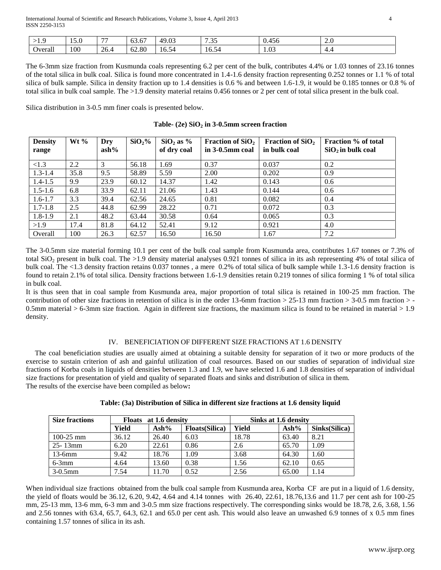| .       | $\sim$ $\sim$<br>- 4<br>1 J . U | $-$  | $\overline{\phantom{a}}$<br>$\sim$<br>03.0 <sub>1</sub> | 49.03      | $\overline{a}$<br>ໍ່ | .<br>0.456 | $\sim$ $\epsilon$<br>$\sim$ |
|---------|---------------------------------|------|---------------------------------------------------------|------------|----------------------|------------|-----------------------------|
| Overal. | 100                             | 26.4 | 62.80                                                   | 74<br>10.5 | 10.54<br>⊿ר          | 1.03       | $+ . -$                     |

The 6-3mm size fraction from Kusmunda coals representing 6.2 per cent of the bulk, contributes 4.4% or 1.03 tonnes of 23.16 tonnes of the total silica in bulk coal. Silica is found more concentrated in 1.4-1.6 density fraction representing 0.252 tonnes or 1.1 % of total silica of bulk sample. Silica in density fraction up to 1.4 densities is 0.6 % and between 1.6-1.9, it would be 0.185 tonnes or 0.8 % of total silica in bulk coal sample. The >1.9 density material retains 0.456 tonnes or 2 per cent of total silica present in the bulk coal.

Silica distribution in 3-0.5 mm finer coals is presented below.

|  |  |  |  |  |  |  | Table- $(2e)$ SiO <sub>2</sub> in 3-0.5mm screen fraction |
|--|--|--|--|--|--|--|-----------------------------------------------------------|
|--|--|--|--|--|--|--|-----------------------------------------------------------|

| <b>Density</b><br>range | Wt $\%$ | Dry<br>$ash\%$ | SiO <sub>2</sub> % | $SiO2$ as %<br>of dry coal | <b>Fraction of SiO</b> <sub>2</sub><br>in 3-0.5mm coal | Fraction of $SiO2$<br>in bulk coal | Fraction % of total<br>$SiO2$ in bulk coal |
|-------------------------|---------|----------------|--------------------|----------------------------|--------------------------------------------------------|------------------------------------|--------------------------------------------|
| < 1.3                   | 2.2     | 3              | 56.18              | 1.69                       | 0.37                                                   | 0.037                              | 0.2                                        |
| $1.3 - 1.4$             | 35.8    | 9.5            | 58.89              | 5.59                       | 2.00                                                   | 0.202                              | 0.9                                        |
| $1.4 - 1.5$             | 9.9     | 23.9           | 60.12              | 14.37                      | 1.42                                                   | 0.143                              | 0.6                                        |
| $1.5 - 1.6$             | 6.8     | 33.9           | 62.11              | 21.06                      | 1.43                                                   | 0.144                              | 0.6                                        |
| $1.6 - 1.7$             | 3.3     | 39.4           | 62.56              | 24.65                      | 0.81                                                   | 0.082                              | 0.4                                        |
| $1.7 - 1.8$             | 2.5     | 44.8           | 62.99              | 28.22                      | 0.71                                                   | 0.072                              | 0.3                                        |
| $1.8 - 1.9$             | 2.1     | 48.2           | 63.44              | 30.58                      | 0.64                                                   | 0.065                              | 0.3                                        |
| >1.9                    | 17.4    | 81.8           | 64.12              | 52.41                      | 9.12                                                   | 0.921                              | 4.0                                        |
| Overall                 | 100     | 26.3           | 62.57              | 16.50                      | 16.50                                                  | 1.67                               | 7.2                                        |

The 3-0.5mm size material forming 10.1 per cent of the bulk coal sample from Kusmunda area, contributes 1.67 tonnes or 7.3% of total SiO<sub>2</sub> present in bulk coal. The >1.9 density material analyses 0.921 tonnes of silica in its ash representing 4% of total silica of bulk coal. The <1.3 density fraction retains 0.037 tonnes , a mere 0.2% of total silica of bulk sample while 1.3-1.6 density fraction is found to retain 2.1% of total silica. Density fractions between 1.6-1.9 densities retain 0.219 tonnes of silica forming 1 % of total silica in bulk coal.

It is thus seen that in coal sample from Kusmunda area, major proportion of total silica is retained in 100-25 mm fraction. The contribution of other size fractions in retention of silica is in the order 13-6mm fraction > 25-13 mm fraction > 3-0.5 mm fraction > - 0.5mm material > 6-3mm size fraction. Again in different size fractions, the maximum silica is found to be retained in material > 1.9 density.

## IV. BENEFICIATION OF DIFFERENT SIZE FRACTIONS AT 1.6 DENSITY

 The coal beneficiation studies are usually aimed at obtaining a suitable density for separation of it two or more products of the exercise to sustain criterion of ash and gainful utilization of coal resources. Based on our studies of separation of individual size fractions of Korba coals in liquids of densities between 1.3 and 1.9, we have selected 1.6 and 1.8 densities of separation of individual size fractions for presentation of yield and quality of separated floats and sinks and distribution of silica in them. The results of the exercise have been compiled as below**:**

| <b>Size fractions</b> |       | Floats at 1.6 density |                        | Sinks at 1.6 density |                  |               |  |
|-----------------------|-------|-----------------------|------------------------|----------------------|------------------|---------------|--|
|                       | Yield | $\mathbf{Ash\%}$      | <b>Floats</b> (Silica) | Yield                | $\mathbf{Ash\%}$ | Sinks(Silica) |  |
| $100-25$ mm           | 36.12 | 26.40                 | 6.03                   | 18.78                | 63.40            | 8.21          |  |
| $25 - 13$ mm          | 6.20  | 22.61                 | 0.86                   | 2.6                  | 65.70            | 1.09          |  |
| $13-6mm$              | 9.42  | 18.76                 | 1.09                   | 3.68                 | 64.30            | 1.60          |  |
| $6-3mm$               | 4.64  | 13.60                 | 0.38                   | 1.56                 | 62.10            | 0.65          |  |
| $3-0.5$ mm            | 7.54  | 11.70                 | 0.52                   | 2.56                 | 65.00            | 1.14          |  |

| Table: (3a) Distribution of Silica in different size fractions at 1.6 density liquid |  |  |  |  |  |
|--------------------------------------------------------------------------------------|--|--|--|--|--|
|--------------------------------------------------------------------------------------|--|--|--|--|--|

When individual size fractions obtained from the bulk coal sample from Kusmunda area, Korba CF are put in a liquid of 1.6 density, the yield of floats would be 36.12, 6.20, 9.42, 4.64 and 4.14 tonnes with 26.40, 22.61, 18.76,13.6 and 11.7 per cent ash for 100-25 mm, 25-13 mm, 13-6 mm, 6-3 mm and 3-0.5 mm size fractions respectively. The corresponding sinks would be 18.78, 2.6, 3.68, 1.56 and 2.56 tonnes with 63.4, 65.7, 64.3, 62.1 and 65.0 per cent ash. This would also leave an unwashed 6.9 tonnes of x 0.5 mm fines containing 1.57 tonnes of silica in its ash.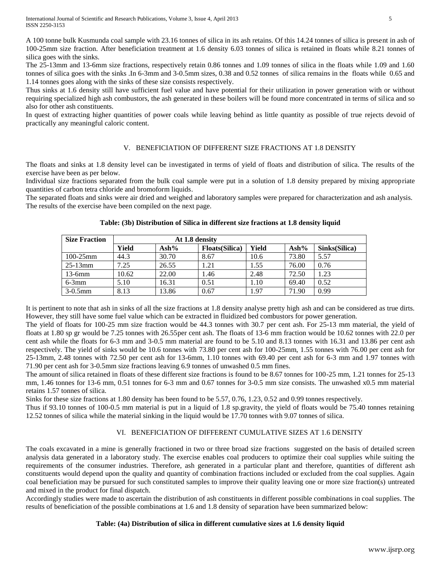A 100 tonne bulk Kusmunda coal sample with 23.16 tonnes of silica in its ash retains. Of this 14.24 tonnes of silica is present in ash of 100-25mm size fraction. After beneficiation treatment at 1.6 density 6.03 tonnes of silica is retained in floats while 8.21 tonnes of silica goes with the sinks.

The 25-13mm and 13-6mm size fractions, respectively retain 0.86 tonnes and 1.09 tonnes of silica in the floats while 1.09 and 1.60 tonnes of silica goes with the sinks .In 6-3mm and 3-0.5mm sizes, 0.38 and 0.52 tonnes of silica remains in the floats while 0.65 and 1.14 tonnes goes along with the sinks of these size consists respectively.

Thus sinks at 1.6 density still have sufficient fuel value and have potential for their utilization in power generation with or without requiring specialized high ash combustors, the ash generated in these boilers will be found more concentrated in terms of silica and so also for other ash constituents.

In quest of extracting higher quantities of power coals while leaving behind as little quantity as possible of true rejects devoid of practically any meaningful caloric content.

## V. BENEFICIATION OF DIFFERENT SIZE FRACTIONS AT 1.8 DENSITY

The floats and sinks at 1.8 density level can be investigated in terms of yield of floats and distribution of silica. The results of the exercise have been as per below.

Individual size fractions separated from the bulk coal sample were put in a solution of 1.8 density prepared by mixing appropriate quantities of carbon tetra chloride and bromoform liquids.

The separated floats and sinks were air dried and weighed and laboratory samples were prepared for characterization and ash analysis. The results of the exercise have been compiled on the next page.

| <b>Size Fraction</b> | At 1.8 density |                  |                       |       |                  |               |
|----------------------|----------------|------------------|-----------------------|-------|------------------|---------------|
|                      | Yield          | $\mathbf{Ash\%}$ | <b>Floats(Silica)</b> | Yield | $\mathbf{Ash\%}$ | Sinks(Silica) |
| $100 - 25$ mm        | 44.3           | 30.70            | 8.67                  | 10.6  | 73.80            | 5.57          |
| $25-13$ mm           | 7.25           | 26.55            | 1.21                  | 1.55  | 76.00            | 0.76          |
| $13-6mm$             | 10.62          | 22.00            | 1.46                  | 2.48  | 72.50            | 1.23          |
| $6-3mm$              | 5.10           | 16.31            | 0.51                  | 1.10  | 69.40            | 0.52          |
| $3-0.5$ mm           | 8.13           | 13.86            | 0.67                  | 1.97  | 71.90            | 0.99          |

## **Table: (3b) Distribution of Silica in different size fractions at 1.8 density liquid**

It is pertinent to note that ash in sinks of all the size fractions at 1.8 density analyse pretty high ash and can be considered as true dirts. However, they still have some fuel value which can be extracted in fluidized bed combustors for power generation.

The yield of floats for 100-25 mm size fraction would be 44.3 tonnes with 30.7 per cent ash. For 25-13 mm material, the yield of floats at 1.80 sp gr would be 7.25 tonnes with 26.55per cent ash. The floats of 13-6 mm fraction would be 10.62 tonnes with 22.0 per cent ash while the floats for 6-3 mm and 3-0.5 mm material are found to be 5.10 and 8.13 tonnes with 16.31 and 13.86 per cent ash respectively. The yield of sinks would be 10.6 tonnes with 73.80 per cent ash for 100-25mm, 1.55 tonnes with 76.00 per cent ash for 25-13mm, 2.48 tonnes with 72.50 per cent ash for 13-6mm, 1.10 tonnes with 69.40 per cent ash for 6-3 mm and 1.97 tonnes with 71.90 per cent ash for 3-0.5mm size fractions leaving 6.9 tonnes of unwashed 0.5 mm fines.

The amount of silica retained in floats of these different size fractions is found to be 8.67 tonnes for 100-25 mm, 1.21 tonnes for 25-13 mm, 1.46 tonnes for 13-6 mm, 0.51 tonnes for 6-3 mm and 0.67 tonnes for 3-0.5 mm size consists. The unwashed x0.5 mm material retains 1.57 tonnes of silica.

Sinks for these size fractions at 1.80 density has been found to be 5.57, 0.76, 1.23, 0.52 and 0.99 tonnes respectively.

Thus if 93.10 tonnes of 100-0.5 mm material is put in a liquid of 1.8 sp.gravity, the yield of floats would be 75.40 tonnes retaining 12.52 tonnes of silica while the material sinking in the liquid would be 17.70 tonnes with 9.07 tonnes of silica.

## VI. BENEFICIATION OF DIFFERENT CUMULATIVE SIZES AT 1.6 DENSITY

The coals excavated in a mine is generally fractioned in two or three broad size fractions suggested on the basis of detailed screen analysis data generated in a laboratory study. The exercise enables coal producers to optimize their coal supplies while suiting the requirements of the consumer industries. Therefore, ash generated in a particular plant and therefore, quantities of different ash constituents would depend upon the quality and quantity of combination fractions included or excluded from the coal supplies. Again coal beneficiation may be pursued for such constituted samples to improve their quality leaving one or more size fraction(s) untreated and mixed in the product for final dispatch.

Accordingly studies were made to ascertain the distribution of ash constituents in different possible combinations in coal supplies. The results of beneficiation of the possible combinations at 1.6 and 1.8 density of separation have been summarized below:

#### **Table: (4a) Distribution of silica in different cumulative sizes at 1.6 density liquid**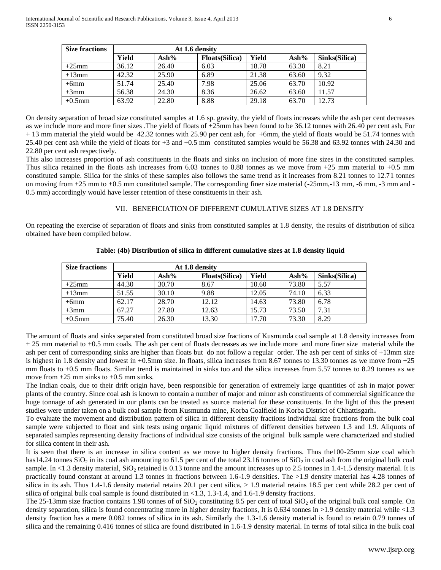| <b>Size fractions</b> | At 1.6 density |                  |                        |       |                  |               |
|-----------------------|----------------|------------------|------------------------|-------|------------------|---------------|
|                       | Yield          | $\mathbf{Ash\%}$ | <b>Floats</b> (Silica) | Yield | $\mathbf{Ash\%}$ | Sinks(Silica) |
| $+25$ mm              | 36.12          | 26.40            | 6.03                   | 18.78 | 63.30            | 8.21          |
| $+13$ mm              | 42.32          | 25.90            | 6.89                   | 21.38 | 63.60            | 9.32          |
| $+6$ mm               | 51.74          | 25.40            | 7.98                   | 25.06 | 63.70            | 10.92         |
| $+3$ mm               | 56.38          | 24.30            | 8.36                   | 26.62 | 63.60            | 11.57         |
| $+0.5$ mm             | 63.92          | 22.80            | 8.88                   | 29.18 | 63.70            | 12.73         |

On density separation of broad size constituted samples at 1.6 sp. gravity, the yield of floats increases while the ash per cent decreases as we include more and more finer sizes .The yield of floats of +25mm has been found to be 36.12 tonnes with 26.40 per cent ash, For + 13 mm material the yield would be 42.32 tonnes with 25.90 per cent ash, for +6mm, the yield of floats would be 51.74 tonnes with 25.40 per cent ash while the yield of floats for +3 and +0.5 mm constituted samples would be 56.38 and 63.92 tonnes with 24.30 and 22.80 per cent ash respectively.

This also increases proportion of ash constituents in the floats and sinks on inclusion of more fine sizes in the constituted samples. Thus silica retained in the floats ash increases from  $6.03$  tonnes to 8.88 tonnes as we move from  $+25$  mm material to  $+0.5$  mm constituted sample. Silica for the sinks of these samples also follows the same trend as it increases from 8.21 tonnes to 12.71 tonnes on moving from  $+25$  mm to  $+0.5$  mm constituted sample. The corresponding finer size material  $(-25$ mm, $-13$  mm,  $-6$  mm,  $-3$  mm and  $-$ 0.5 mm) accordingly would have lesser retention of these constituents in their ash.

#### VII. BENEFICIATION OF DIFFERENT CUMULATIVE SIZES AT 1.8 DENSITY

On repeating the exercise of separation of floats and sinks from constituted samples at 1.8 density, the results of distribution of silica obtained have been compiled below.

| <b>Size fractions</b> | At 1.8 density |                  |                        |       |                  |               |
|-----------------------|----------------|------------------|------------------------|-------|------------------|---------------|
|                       | Yield          | $\mathbf{Ash\%}$ | <b>Floats</b> (Silica) | Yield | $\mathbf{Ash\%}$ | Sinks(Silica) |
| $+25$ mm              | 44.30          | 30.70            | 8.67                   | 10.60 | 73.80            | 5.57          |
| $+13$ mm              | 51.55          | 30.10            | 9.88                   | 12.05 | 74.10            | 6.33          |
| $+6$ mm               | 62.17          | 28.70            | 12.12                  | 14.63 | 73.80            | 6.78          |
| $+3$ mm               | 67.27          | 27.80            | 12.63                  | 15.73 | 73.50            | 7.31          |
| $+0.5$ mm             | 75.40          | 26.30            | 13.30                  | 17.70 | 73.30            | 8.29          |

**Table: (4b) Distribution of silica in different cumulative sizes at 1.8 density liquid**

The amount of floats and sinks separated from constituted broad size fractions of Kusmunda coal sample at 1.8 density increases from + 25 mm material to +0.5 mm coals. The ash per cent of floats decreases as we include more and more finer size material while the ash per cent of corresponding sinks are higher than floats but do not follow a regular order. The ash per cent of sinks of +13mm size is highest in 1.8 density and lowest in  $+0.5$ mm size. In floats, silica increases from 8.67 tonnes to 13.30 tonnes as we move from  $+25$ mm floats to +0.5 mm floats. Similar trend is maintained in sinks too and the silica increases from 5.57 tonnes to 8.29 tonnes as we move from  $+25$  mm sinks to  $+0.5$  mm sinks.

The Indian coals, due to their drift origin have, been responsible for generation of extremely large quantities of ash in major power plants of the country. Since coal ash is known to contain a number of major and minor ash constituents of commercial significance the huge tonnage of ash generated in our plants can be treated as source material for these constituents. In the light of this the present studies were under taken on a bulk coal sample from Kusmunda mine, Korba Coalfield in Korba District of Chhattisgarh**.** 

To evaluate the movement and distribution pattern of silica in different density fractions individual size fractions from the bulk coal sample were subjected to float and sink tests using organic liquid mixtures of different densities between 1.3 and 1.9. Aliquots of separated samples representing density fractions of individual size consists of the original bulk sample were characterized and studied for silica content in their ash.

It is seen that there is an increase in silica content as we move to higher density fractions. Thus the100-25mm size coal which has 14.24 tonnes SiO<sub>2</sub> in its coal ash amounting to 61.5 per cent of the total 23.16 tonnes of SiO<sub>2</sub> in coal ash from the original bulk coal sample. In <1.3 density material,  $SiO<sub>2</sub>$  retained is 0.13 tonne and the amount increases up to 2.5 tonnes in 1.4-1.5 density material. It is practically found constant at around 1.3 tonnes in fractions between 1.6-1.9 densities. The >1.9 density material has 4.28 tonnes of silica in its ash. Thus 1.4-1.6 density material retains 20.1 per cent silica, > 1.9 material retains 18.5 per cent while 28.2 per cent of silica of original bulk coal sample is found distributed in  $\langle 1.3, 1.3-1.4,$  and 1.6-1.9 density fractions.

The 25-13mm size fraction contains 1.98 tonnes of of  $SiO<sub>2</sub>$  constituting 8.5 per cent of total  $SiO<sub>2</sub>$  of the original bulk coal sample. On density separation, silica is found concentrating more in higher density fractions, It is 0.634 tonnes in >1.9 density material while <1.3 density fraction has a mere 0.082 tonnes of silica in its ash. Similarly the 1.3-1.6 density material is found to retain 0.79 tonnes of silica and the remaining 0.416 tonnes of silica are found distributed in 1.6-1.9 density material. In terms of total silica in the bulk coal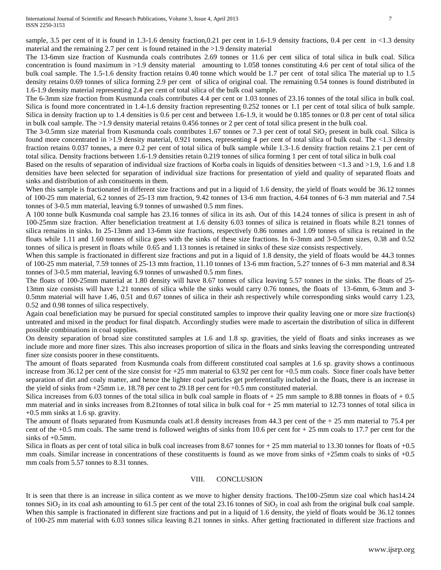sample, 3.5 per cent of it is found in 1.3-1.6 density fraction,0.21 per cent in 1.6-1.9 density fractions, 0.4 per cent in <1.3 density material and the remaining 2.7 per cent is found retained in the >1.9 density material

The 13-6mm size fraction of Kusmunda coals contributes 2.69 tonnes or 11.6 per cent silica of total silica in bulk coal. Silica concentration is found maximum in >1.9 density material amounting to 1.058 tonnes constituting 4.6 per cent of total silica of the bulk coal sample. The 1.5-1.6 density fraction retains 0.40 tonne which would be 1.7 per cent of total silica The material up to 1.5 density retains 0.69 tonnes of silica forming 2.9 per cent of silica of original coal. The remaining 0.54 tonnes is found distributed in 1.6-1.9 density material representing 2.4 per cent of total silica of the bulk coal sample.

The 6-3mm size fraction from Kusmunda coals contributes 4.4 per cent or 1.03 tonnes of 23.16 tonnes of the total silica in bulk coal. Silica is found more concentrated in 1.4-1.6 density fraction representing 0.252 tonnes or 1.1 per cent of total silica of bulk sample. Silica in density fraction up to 1.4 densities is 0.6 per cent and between 1.6-1.9, it would be 0.185 tonnes or 0.8 per cent of total silica in bulk coal sample. The >1.9 density material retains 0.456 tonnes or 2 per cent of total silica present in the bulk coal.

The 3-0.5mm size material from Kusmunda coals contributes 1.67 tonnes or 7.3 per cent of total SiO<sub>2</sub> present in bulk coal. Silica is found more concentrated in >1.9 density material, 0.921 tonnes, representing 4 per cent of total silica of bulk coal. The <1.3 density fraction retains 0.037 tonnes, a mere 0.2 per cent of total silica of bulk sample while 1.3-1.6 density fraction retains 2.1 per cent of total silica. Density fractions between 1.6-1.9 densities retain 0.219 tonnes of silica forming 1 per cent of total silica in bulk coal

Based on the results of separation of individual size fractions of Korba coals in liquids of densities between <1.3 and >1.9, 1.6 and 1.8 densities have been selected for separation of individual size fractions for presentation of yield and quality of separated floats and sinks and distribution of ash constituents in them.

When this sample is fractionated in different size fractions and put in a liquid of 1.6 density, the yield of floats would be 36.12 tonnes of 100-25 mm material, 6.2 tonnes of 25-13 mm fraction, 9.42 tonnes of 13-6 mm fraction, 4.64 tonnes of 6-3 mm material and 7.54 tonnes of 3-0.5 mm material, leaving 6.9 tonnes of unwashed 0.5 mm fines.

A 100 tonne bulk Kusmunda coal sample has 23.16 tonnes of silica in its ash. Out of this 14.24 tonnes of silica is present in ash of 100-25mm size fraction. After beneficiation treatment at 1.6 density 6.03 tonnes of silica is retained in floats while 8.21 tonnes of silica remains in sinks. In 25-13mm and 13-6mm size fractions, respectively 0.86 tonnes and 1.09 tonnes of silica is retained in the floats while 1.11 and 1.60 tonnes of silica goes with the sinks of these size fractions. In 6-3mm and 3-0.5mm sizes, 0.38 and 0.52 tonnes of silica is present in floats while 0.65 and 1.13 tonnes is retained in sinks of these size consists respectively.

When this sample is fractionated in different size fractions and put in a liquid of 1.8 density, the yield of floats would be 44.3 tonnes of 100-25 mm material, 7.59 tonnes of 25-13 mm fraction, 11.10 tonnes of 13-6 mm fraction, 5.27 tonnes of 6-3 mm material and 8.34 tonnes of 3-0.5 mm material, leaving 6.9 tonnes of unwashed 0.5 mm fines.

The floats of 100-25mm material at 1.80 density will have 8.67 tonnes of silica leaving 5.57 tonnes in the sinks. The floats of 25- 13mm size consists will have 1.21 tonnes of silica while the sinks would carry 0.76 tonnes, the floats of 13-6mm, 6-3mm and 3- 0.5mm material will have 1.46, 0.51 and 0.67 tonnes of silica in their ash respectively while corresponding sinks would carry 1.23, 0.52 and 0.98 tonnes of silica respectively.

Again coal beneficiation may be pursued for special constituted samples to improve their quality leaving one or more size fraction(s) untreated and mixed in the product for final dispatch. Accordingly studies were made to ascertain the distribution of silica in different possible combinations in coal supplies.

On density separation of broad size constituted samples at 1.6 and 1.8 sp. gravities, the yield of floats and sinks increases as we include more and more finer sizes. This also increases proportion of silica in the floats and sinks leaving the corresponding untreated finer size consists poorer in these constituents.

The amount of floats separated from Kusmunda coals from different constituted coal samples at 1.6 sp. gravity shows a continuous increase from 36.12 per cent of the size consist for +25 mm material to 63.92 per cent for +0.5 mm coals. Since finer coals have better separation of dirt and coaly matter, and hence the lighter coal particles get preferentially included in the floats, there is an increase in the yield of sinks from +25mm i.e. 18.78 per cent to 29.18 per cent for +0.5 mm constituted material.

Silica increases from 6.03 tonnes of the total silica in bulk coal sample in floats of  $+ 25$  mm sample to 8.88 tonnes in floats of  $+ 0.5$ mm material and in sinks increases from 8.21tonnes of total silica in bulk coal for + 25 mm material to 12.73 tonnes of total silica in +0.5 mm sinks at 1.6 sp. gravity.

The amount of floats separated from Kusmunda coals at 1.8 density increases from  $44.3$  per cent of the  $+25$  mm material to 75.4 per cent of the  $+0.5$  mm coals. The same trend is followed weights of sinks from 10.6 per cent for  $+25$  mm coals to 17.7 per cent for the sinks of  $+0.5$ mm.

Silica in floats as per cent of total silica in bulk coal increases from 8.67 tonnes for  $+25$  mm material to 13.30 tonnes for floats of  $+0.5$ mm coals. Similar increase in concentrations of these constituents is found as we move from sinks of +25mm coals to sinks of +0.5 mm coals from 5.57 tonnes to 8.31 tonnes.

## VIII. CONCLUSION

It is seen that there is an increase in silica content as we move to higher density fractions. The100-25mm size coal which has14.24 tonnes  $SiO<sub>2</sub>$  in its coal ash amounting to 61.5 per cent of the total 23.16 tonnes of  $SiO<sub>2</sub>$  in coal ash from the original bulk coal sample. When this sample is fractionated in different size fractions and put in a liquid of 1.6 density, the yield of floats would be 36.12 tonnes of 100-25 mm material with 6.03 tonnes silica leaving 8.21 tonnes in sinks. After getting fractionated in different size fractions and